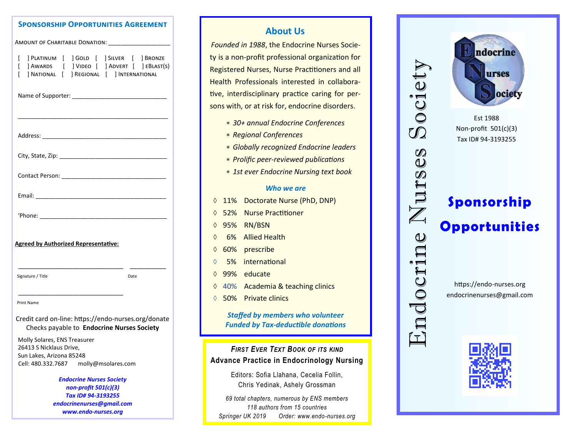#### **Sponsorship Opportunities Agreement**

| AMOUNT OF CHARITABLE DONATION:                                                      |                                                                                                                                       |
|-------------------------------------------------------------------------------------|---------------------------------------------------------------------------------------------------------------------------------------|
| ſ<br>ſ<br>ſ                                                                         | ] PLATINUM [ ] GOLD [ ] SILVER [ ] BRONZE<br>] AWARDS [ ] VIDEO [ ] ADVERT [ ] EBLAST(S)<br>] NATIONAL [ ] REGIONAL [ ] INTERNATIONAL |
|                                                                                     |                                                                                                                                       |
|                                                                                     |                                                                                                                                       |
|                                                                                     |                                                                                                                                       |
|                                                                                     |                                                                                                                                       |
|                                                                                     |                                                                                                                                       |
|                                                                                     |                                                                                                                                       |
| <b>Agreed by Authorized Representative:</b>                                         |                                                                                                                                       |
| Signature / Title                                                                   | Date                                                                                                                                  |
| <b>Print Name</b>                                                                   |                                                                                                                                       |
|                                                                                     | Credit card on-line: https://endo-nurses.org/donate<br>Checks payable to Endocrine Nurses Society                                     |
| Molly Solares, ENS Treasurer<br>26413 S Nicklaus Drive,<br>Sun Lakes, Arizona 85248 |                                                                                                                                       |
| Cell: 480.332.7687 molly@msolares.com                                               |                                                                                                                                       |
|                                                                                     | <b>Endocrine Nurses Society</b>                                                                                                       |
| non-profit 501(c)(3)                                                                |                                                                                                                                       |
| Tax ID# 94-3193255                                                                  |                                                                                                                                       |
| endocrinenurses@gmail.com<br>www.endo-nurses.org                                    |                                                                                                                                       |

# **About Us**

 *Founded in 1988*, the Endocrine Nurses Society is a non-profit professional organization for Registered Nurses, Nurse Practitioners and all Health Professionals interested in collaborative, interdisciplinary practice caring for persons with, or at risk for, endocrine disorders.

- *30+ annual Endocrine Conferences*
- *Regional Conferences*
- *Globally recognized Endocrine leaders*
- *Prolific peer-reviewed publications*
- *1st ever Endocrine Nursing text book*

#### *Who we are*

- 11% Doctorate Nurse (PhD, DNP)
- 52% Nurse Practitioner
- 95% RN/BSN
- 6% Allied Health
- 60% prescribe
- 5% international
- 99% educate
- ♦ 40% Academia & teaching clinics
- 50% Private clinics

*Staffed by members who volunteer Funded by Tax-deductible donations*

*FIRST EVER TEXT BOOK OF ITS KIND* **Advance Practice in Endocrinology Nursing**

> Editors: Sofia Llahana, Cecelia Follin, Chris Yedinak, Ashely Grossman

*69 total chapters, numerous by ENS members 118 authors from 15 countries Springer UK 2019 Order: www.endo-nurses.org*